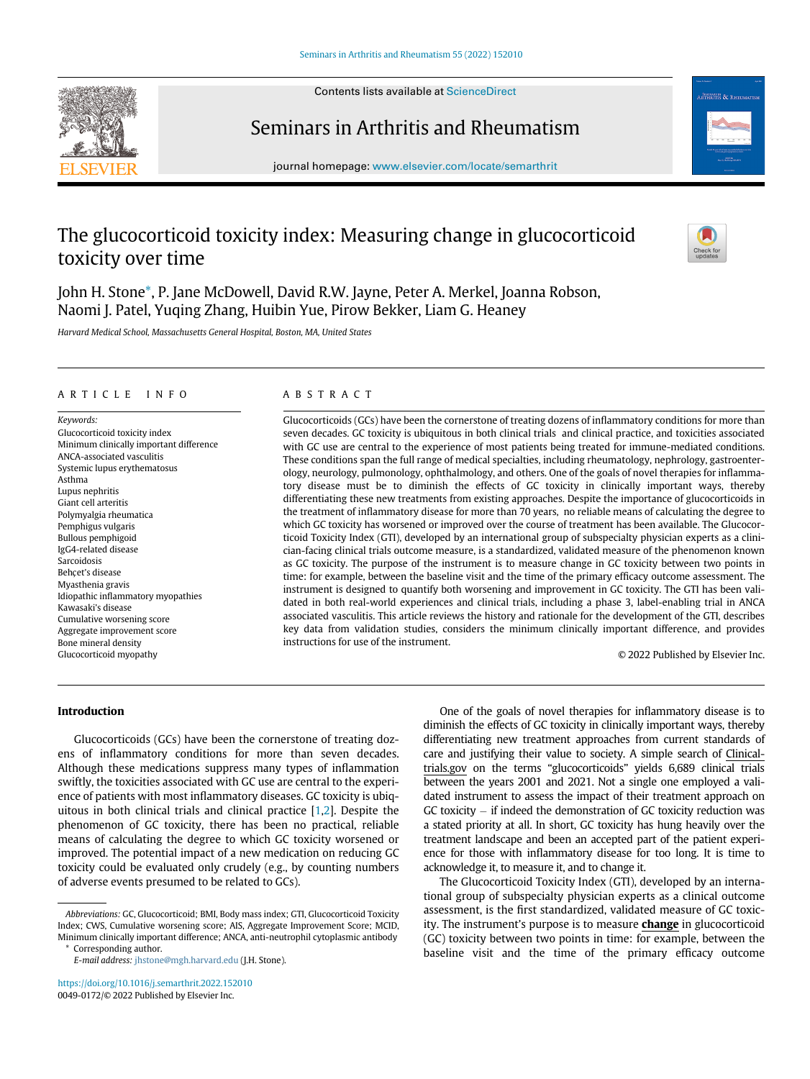Contents lists available at ScienceDirect



# Seminars in Arthritis and Rheumatism



journal homepage: [www.elsevier.com/locate/semarthrit](http://www.elsevier.com/locate/semarthrit)

# The glucocorticoid toxicity index: Measuring change in glucocorticoid toxicity over time



John H. Stone[\\*](#page-0-0), P. Jane McDowell, David R.W. Jayne, Peter A. Merkel, Joanna Robson, Naomi J. Patel, Yuqing Zhang, Huibin Yue, Pirow Bekker, Liam G. Heaney

Harvard Medical School, Massachusetts General Hospital, Boston, MA, United States

## ARTICLE INFO ABSTRACT

Keywords: Glucocorticoid toxicity index Minimum clinically important difference ANCA-associated vasculitis Systemic lupus erythematosus Asthma Lupus nephritis Giant cell arteritis Polymyalgia rheumatica Pemphigus vulgaris Bullous pemphigoid IgG4-related disease Sarcoidosis Behcet's disease Myasthenia gravis Idiopathic inflammatory myopathies Kawasaki's disease Cumulative worsening score Aggregate improvement score Bone mineral density Glucocorticoid myopathy

Glucocorticoids (GCs) have been the cornerstone of treating dozens of inflammatory conditions for more than seven decades. GC toxicity is ubiquitous in both clinical trials and clinical practice, and toxicities associated with GC use are central to the experience of most patients being treated for immune-mediated conditions. These conditions span the full range of medical specialties, including rheumatology, nephrology, gastroenterology, neurology, pulmonology, ophthalmology, and others. One of the goals of novel therapies for inflammatory disease must be to diminish the effects of GC toxicity in clinically important ways, thereby differentiating these new treatments from existing approaches. Despite the importance of glucocorticoids in the treatment of inflammatory disease for more than 70 years, no reliable means of calculating the degree to which GC toxicity has worsened or improved over the course of treatment has been available. The Glucocorticoid Toxicity Index (GTI), developed by an international group of subspecialty physician experts as a clinician-facing clinical trials outcome measure, is a standardized, validated measure of the phenomenon known as GC toxicity. The purpose of the instrument is to measure change in GC toxicity between two points in time: for example, between the baseline visit and the time of the primary efficacy outcome assessment. The instrument is designed to quantify both worsening and improvement in GC toxicity. The GTI has been validated in both real-world experiences and clinical trials, including a phase 3, label-enabling trial in ANCA associated vasculitis. This article reviews the history and rationale for the development of the GTI, describes key data from validation studies, considers the minimum clinically important difference, and provides instructions for use of the instrument.

© 2022 Published by Elsevier Inc.

# Introduction

Glucocorticoids (GCs) have been the cornerstone of treating dozens of inflammatory conditions for more than seven decades. Although these medications suppress many types of inflammation swiftly, the toxicities associated with GC use are central to the experience of patients with most inflammatory diseases. GC toxicity is ubiquitous in both clinical trials and clinical practice [[1](#page-7-0)[,2\]](#page-7-1). Despite the phenomenon of GC toxicity, there has been no practical, reliable means of calculating the degree to which GC toxicity worsened or improved. The potential impact of a new medication on reducing GC toxicity could be evaluated only crudely (e.g., by counting numbers of adverse events presumed to be related to GCs).

<https://doi.org/10.1016/j.semarthrit.2022.152010> 0049-0172/© 2022 Published by Elsevier Inc.

One of the goals of novel therapies for inflammatory disease is to diminish the effects of GC toxicity in clinically important ways, thereby differentiating new treatment approaches from current standards of care and justifying their value to society. A simple search of Clinicaltrials.gov on the terms "glucocorticoids" yields 6,689 clinical trials between the years 2001 and 2021. Not a single one employed a validated instrument to assess the impact of their treatment approach on  $GC$  toxicity  $-$  if indeed the demonstration of  $GC$  toxicity reduction was a stated priority at all. In short, GC toxicity has hung heavily over the treatment landscape and been an accepted part of the patient experience for those with inflammatory disease for too long. It is time to acknowledge it, to measure it, and to change it.

The Glucocorticoid Toxicity Index (GTI), developed by an international group of subspecialty physician experts as a clinical outcome assessment, is the first standardized, validated measure of GC toxicity. The instrument's purpose is to measure change in glucocorticoid (GC) toxicity between two points in time: for example, between the baseline visit and the time of the primary efficacy outcome

<span id="page-0-0"></span>Abbreviations: GC, Glucocorticoid; BMI, Body mass index; GTI, Glucocorticoid Toxicity Index; CWS, Cumulative worsening score; AIS, Aggregate Improvement Score; MCID, Minimum clinically important difference; ANCA, anti-neutrophil cytoplasmic antibody Corresponding author.

E-mail address: [jhstone@mgh.harvard.edu](mailto:jhstone@mgh.harvard.edu) (J.H. Stone).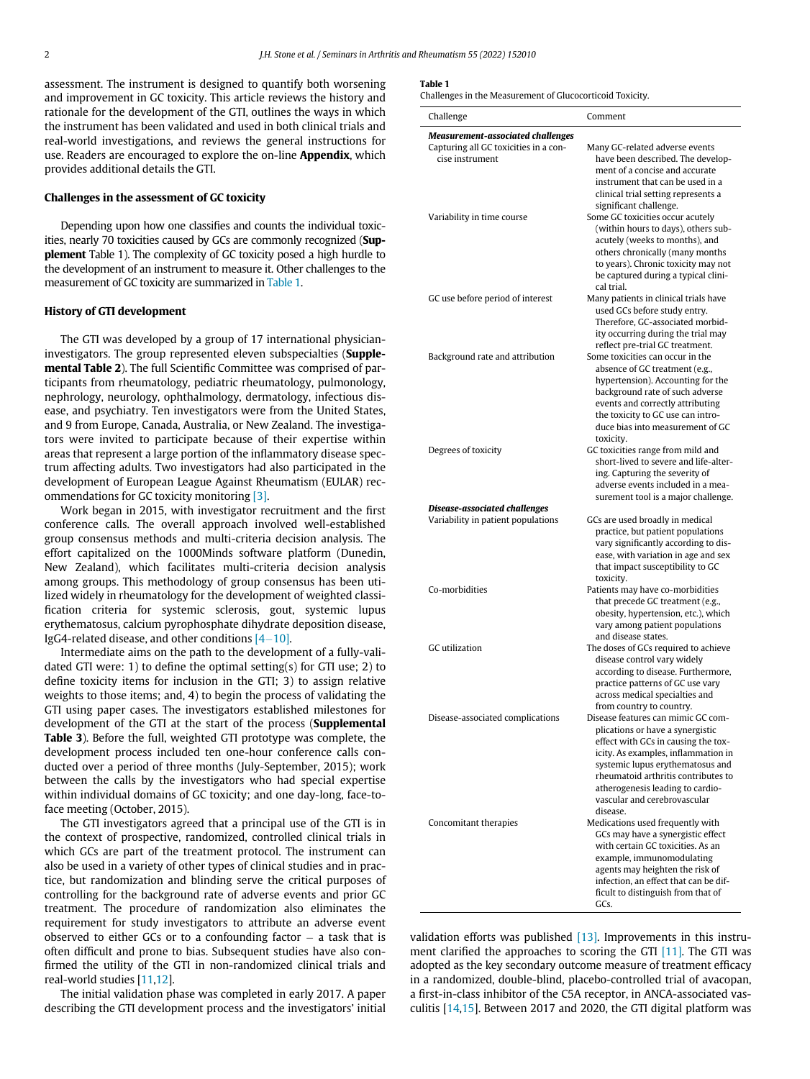<span id="page-1-0"></span>assessment. The instrument is designed to quantify both worsening and improvement in GC toxicity. This article reviews the history and rationale for the development of the GTI, outlines the ways in which the instrument has been validated and used in both clinical trials and real-world investigations, and reviews the general instructions for use. Readers are encouraged to explore the on-line Appendix, which provides additional details the GTI.

# Challenges in the assessment of GC toxicity

Depending upon how one classifies and counts the individual toxicities, nearly 70 toxicities caused by GCs are commonly recognized (Supplement Table 1). The complexity of GC toxicity posed a high hurdle to the development of an instrument to measure it. Other challenges to the measurement of GC toxicity are summarized in [Table 1](#page-1-0).

# History of GTI development

The GTI was developed by a group of 17 international physicianinvestigators. The group represented eleven subspecialties (Supplemental Table 2). The full Scientific Committee was comprised of participants from rheumatology, pediatric rheumatology, pulmonology, nephrology, neurology, ophthalmology, dermatology, infectious disease, and psychiatry. Ten investigators were from the United States, and 9 from Europe, Canada, Australia, or New Zealand. The investigators were invited to participate because of their expertise within areas that represent a large portion of the inflammatory disease spectrum affecting adults. Two investigators had also participated in the development of European League Against Rheumatism (EULAR) recommendations for GC toxicity monitoring [\[3\]](#page-7-2).

Work began in 2015, with investigator recruitment and the first conference calls. The overall approach involved well-established group consensus methods and multi-criteria decision analysis. The effort capitalized on the 1000Minds software platform (Dunedin, New Zealand), which facilitates multi-criteria decision analysis among groups. This methodology of group consensus has been utilized widely in rheumatology for the development of weighted classification criteria for systemic sclerosis, gout, systemic lupus erythematosus, calcium pyrophosphate dihydrate deposition disease, IgG4-related disease, and other conditions  $[4-10]$  $[4-10]$ .

Intermediate aims on the path to the development of a fully-validated GTI were: 1) to define the optimal setting(s) for GTI use; 2) to define toxicity items for inclusion in the GTI; 3) to assign relative weights to those items; and, 4) to begin the process of validating the GTI using paper cases. The investigators established milestones for development of the GTI at the start of the process (Supplemental Table 3). Before the full, weighted GTI prototype was complete, the development process included ten one-hour conference calls conducted over a period of three months (July-September, 2015); work between the calls by the investigators who had special expertise within individual domains of GC toxicity; and one day-long, face-toface meeting (October, 2015).

The GTI investigators agreed that a principal use of the GTI is in the context of prospective, randomized, controlled clinical trials in which GCs are part of the treatment protocol. The instrument can also be used in a variety of other types of clinical studies and in practice, but randomization and blinding serve the critical purposes of controlling for the background rate of adverse events and prior GC treatment. The procedure of randomization also eliminates the requirement for study investigators to attribute an adverse event observed to either GCs or to a confounding factor  $-$  a task that is often difficult and prone to bias. Subsequent studies have also confirmed the utility of the GTI in non-randomized clinical trials and real-world studies [[11,](#page-7-4)[12\]](#page-7-5).

The initial validation phase was completed in early 2017. A paper describing the GTI development process and the investigators' initial

## Table 1

Challenges in the Measurement of Glucocorticoid Toxicity.

| Challenge                                                | Comment                                                                     |
|----------------------------------------------------------|-----------------------------------------------------------------------------|
| <b>Measurement-associated challenges</b>                 |                                                                             |
| Capturing all GC toxicities in a con-<br>cise instrument | Many GC-related adverse events<br>have been described. The develop-         |
|                                                          | ment of a concise and accurate<br>instrument that can be used in a          |
|                                                          | clinical trial setting represents a                                         |
|                                                          | significant challenge.                                                      |
| Variability in time course                               | Some GC toxicities occur acutely                                            |
|                                                          | (within hours to days), others sub-                                         |
|                                                          | acutely (weeks to months), and<br>others chronically (many months           |
|                                                          | to years). Chronic toxicity may not                                         |
|                                                          | be captured during a typical clini-                                         |
|                                                          | cal trial.                                                                  |
| GC use before period of interest                         | Many patients in clinical trials have                                       |
|                                                          | used GCs before study entry.<br>Therefore, GC-associated morbid-            |
|                                                          | ity occurring during the trial may                                          |
|                                                          | reflect pre-trial GC treatment.                                             |
| Background rate and attribution                          | Some toxicities can occur in the                                            |
|                                                          | absence of GC treatment (e.g.,                                              |
|                                                          | hypertension). Accounting for the                                           |
|                                                          | background rate of such adverse<br>events and correctly attributing         |
|                                                          | the toxicity to GC use can intro-                                           |
|                                                          | duce bias into measurement of GC                                            |
|                                                          | toxicity.                                                                   |
| Degrees of toxicity                                      | GC toxicities range from mild and                                           |
|                                                          | short-lived to severe and life-alter-                                       |
|                                                          | ing. Capturing the severity of                                              |
|                                                          | adverse events included in a mea-<br>surement tool is a major challenge.    |
| Disease-associated challenges                            |                                                                             |
| Variability in patient populations                       | GCs are used broadly in medical                                             |
|                                                          | practice, but patient populations                                           |
|                                                          | vary significantly according to dis-                                        |
|                                                          | ease, with variation in age and sex<br>that impact susceptibility to GC     |
|                                                          | toxicity.                                                                   |
| Co-morbidities                                           | Patients may have co-morbidities                                            |
|                                                          | that precede GC treatment (e.g.,                                            |
|                                                          | obesity, hypertension, etc.), which                                         |
|                                                          | vary among patient populations                                              |
| <b>GC</b> utilization                                    | and disease states.<br>The doses of GCs required to achieve                 |
|                                                          | disease control vary widely                                                 |
|                                                          | according to disease. Furthermore,                                          |
|                                                          | practice patterns of GC use vary                                            |
|                                                          | across medical specialties and                                              |
|                                                          | from country to country.                                                    |
| Disease-associated complications                         | Disease features can mimic GC com-<br>plications or have a synergistic      |
|                                                          | effect with GCs in causing the tox-                                         |
|                                                          | icity. As examples, inflammation in                                         |
|                                                          | systemic lupus erythematosus and                                            |
|                                                          | rheumatoid arthritis contributes to                                         |
|                                                          | atherogenesis leading to cardio-                                            |
|                                                          | vascular and cerebrovascular<br>disease.                                    |
| Concomitant therapies                                    | Medications used frequently with                                            |
|                                                          | GCs may have a synergistic effect                                           |
|                                                          | with certain GC toxicities. As an                                           |
|                                                          | example, immunomodulating                                                   |
|                                                          | agents may heighten the risk of                                             |
|                                                          | infection, an effect that can be dif-<br>ficult to distinguish from that of |
|                                                          | GCs.                                                                        |
|                                                          |                                                                             |

validation efforts was published [\[13\]](#page-7-6). Improvements in this instrument clarified the approaches to scoring the GTI  $[11]$ . The GTI was adopted as the key secondary outcome measure of treatment efficacy in a randomized, double-blind, placebo-controlled trial of avacopan, a first-in-class inhibitor of the C5A receptor, in ANCA-associated vasculitis [[14,](#page-7-7)[15\]](#page-7-8). Between 2017 and 2020, the GTI digital platform was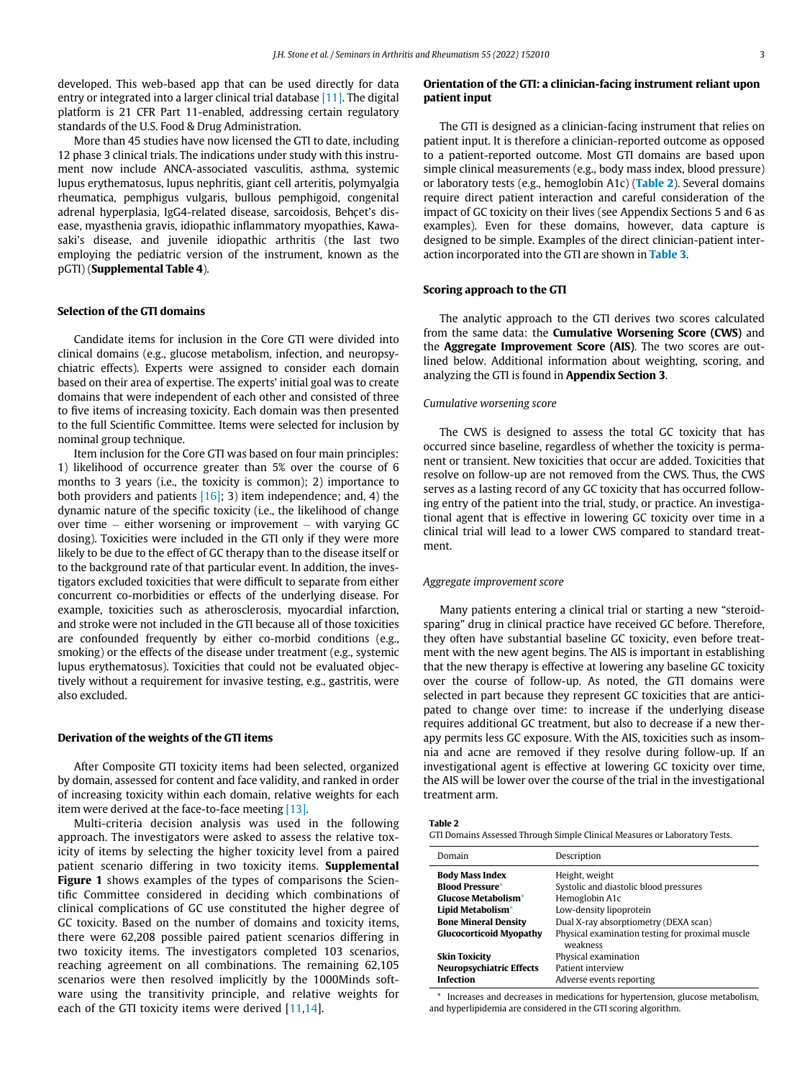developed. This web-based app that can be used directly for data entry or integrated into a larger clinical trial database [\[11\].](#page-7-4) The digital platform is 21 CFR Part 11-enabled, addressing certain regulatory standards of the U.S. Food & Drug Administration.

More than 45 studies have now licensed the GTI to date, including 12 phase 3 clinical trials. The indications under study with this instrument now include ANCA-associated vasculitis, asthma, systemic lupus erythematosus, lupus nephritis, giant cell arteritis, polymyalgia rheumatica, pemphigus vulgaris, bullous pemphigoid, congenital adrenal hyperplasia, IgG4-related disease, sarcoidosis, Behcet's disease, myasthenia gravis, idiopathic inflammatory myopathies, Kawasaki's disease, and juvenile idiopathic arthritis (the last two employing the pediatric version of the instrument, known as the pGTI) (Supplemental Table 4).

# Selection of the GTI domains

Candidate items for inclusion in the Core GTI were divided into clinical domains (e.g., glucose metabolism, infection, and neuropsychiatric effects). Experts were assigned to consider each domain based on their area of expertise. The experts' initial goal was to create domains that were independent of each other and consisted of three to five items of increasing toxicity. Each domain was then presented to the full Scientific Committee. Items were selected for inclusion by nominal group technique.

Item inclusion for the Core GTI was based on four main principles: 1) likelihood of occurrence greater than 5% over the course of 6 months to 3 years (i.e., the toxicity is common); 2) importance to both providers and patients  $[16]$ ; 3) item independence; and, 4) the dynamic nature of the specific toxicity (i.e., the likelihood of change over time  $-$  either worsening or improvement  $-$  with varying GC dosing). Toxicities were included in the GTI only if they were more likely to be due to the effect of GC therapy than to the disease itself or to the background rate of that particular event. In addition, the investigators excluded toxicities that were difficult to separate from either concurrent co-morbidities or effects of the underlying disease. For example, toxicities such as atherosclerosis, myocardial infarction, and stroke were not included in the GTI because all of those toxicities are confounded frequently by either co-morbid conditions (e.g., smoking) or the effects of the disease under treatment (e.g., systemic lupus erythematosus). Toxicities that could not be evaluated objectively without a requirement for invasive testing, e.g., gastritis, were also excluded.

### Derivation of the weights of the GTI items

After Composite GTI toxicity items had been selected, organized by domain, assessed for content and face validity, and ranked in order of increasing toxicity within each domain, relative weights for each item were derived at the face-to-face meeting [\[13\]](#page-7-6).

<span id="page-2-1"></span><span id="page-2-0"></span>Multi-criteria decision analysis was used in the following approach. The investigators were asked to assess the relative toxicity of items by selecting the higher toxicity level from a paired patient scenario differing in two toxicity items. Supplemental Figure 1 shows examples of the types of comparisons the Scientific Committee considered in deciding which combinations of clinical complications of GC use constituted the higher degree of GC toxicity. Based on the number of domains and toxicity items, there were 62,208 possible paired patient scenarios differing in two toxicity items. The investigators completed 103 scenarios, reaching agreement on all combinations. The remaining 62,105 scenarios were then resolved implicitly by the 1000Minds software using the transitivity principle, and relative weights for each of the GTI toxicity items were derived [[11](#page-7-4)[,14\]](#page-7-7).

# Orientation of the GTI: a clinician-facing instrument reliant upon patient input

The GTI is designed as a clinician-facing instrument that relies on patient input. It is therefore a clinician-reported outcome as opposed to a patient-reported outcome. Most GTI domains are based upon simple clinical measurements (e.g., body mass index, blood pressure) or laboratory tests (e.g., hemoglobin A1c) ([Table 2](#page-2-0)). Several domains require direct patient interaction and careful consideration of the impact of GC toxicity on their lives (see Appendix Sections 5 and 6 as examples). Even for these domains, however, data capture is designed to be simple. Examples of the direct clinician-patient interaction incorporated into the GTI are shown in [Table 3](#page-3-0).

# Scoring approach to the GTI

The analytic approach to the GTI derives two scores calculated from the same data: the **Cumulative Worsening Score (CWS)** and the Aggregate Improvement Score (AIS). The two scores are outlined below. Additional information about weighting, scoring, and analyzing the GTI is found in Appendix Section 3.

# Cumulative worsening score

The CWS is designed to assess the total GC toxicity that has occurred since baseline, regardless of whether the toxicity is permanent or transient. New toxicities that occur are added. Toxicities that resolve on follow-up are not removed from the CWS. Thus, the CWS serves as a lasting record of any GC toxicity that has occurred following entry of the patient into the trial, study, or practice. An investigational agent that is effective in lowering GC toxicity over time in a clinical trial will lead to a lower CWS compared to standard treatment.

# Aggregate improvement score

Many patients entering a clinical trial or starting a new "steroidsparing" drug in clinical practice have received GC before. Therefore, they often have substantial baseline GC toxicity, even before treatment with the new agent begins. The AIS is important in establishing that the new therapy is effective at lowering any baseline GC toxicity over the course of follow-up. As noted, the GTI domains were selected in part because they represent GC toxicities that are anticipated to change over time: to increase if the underlying disease requires additional GC treatment, but also to decrease if a new therapy permits less GC exposure. With the AIS, toxicities such as insomnia and acne are removed if they resolve during follow-up. If an investigational agent is effective at lowering GC toxicity over time, the AIS will be lower over the course of the trial in the investigational treatment arm.

Table 2

GTI Domains Assessed Through Simple Clinical Measures or Laboratory Tests.

| Domain                          | Description                                      |  |  |
|---------------------------------|--------------------------------------------------|--|--|
| <b>Body Mass Index</b>          | Height, weight                                   |  |  |
| <b>Blood Pressure*</b>          | Systolic and diastolic blood pressures           |  |  |
| <b>Glucose Metabolism*</b>      | Hemoglobin A1c                                   |  |  |
| Lipid Metabolism*               | Low-density lipoprotein                          |  |  |
| <b>Bone Mineral Density</b>     | Dual X-ray absorptiometry (DEXA scan)            |  |  |
| <b>Glucocorticoid Myopathy</b>  | Physical examination testing for proximal muscle |  |  |
|                                 | weakness                                         |  |  |
| <b>Skin Toxicity</b>            | Physical examination                             |  |  |
| <b>Neuropsychiatric Effects</b> | Patient interview                                |  |  |
| <b>Infection</b>                | Adverse events reporting                         |  |  |

\* Increases and decreases in medications for hypertension, glucose metabolism, and hyperlipidemia are considered in the GTI scoring algorithm.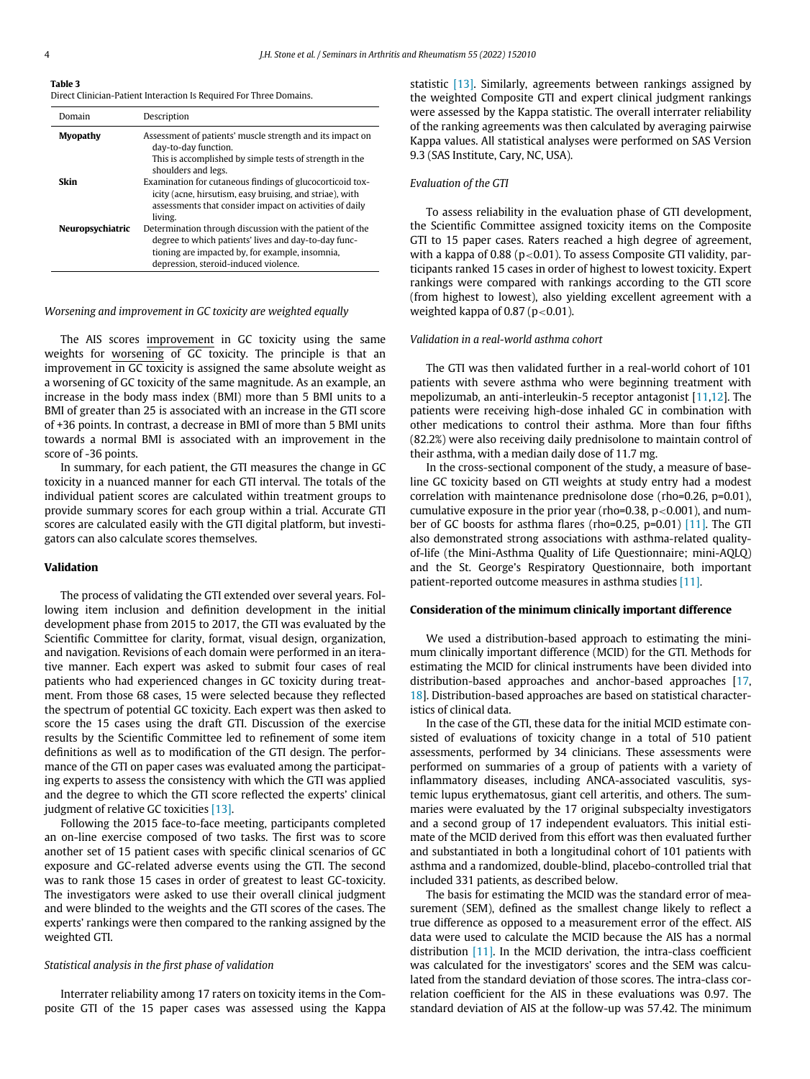<span id="page-3-0"></span>Table 3

Direct Clinician-Patient Interaction Is Required For Three Domains.

| Domain           | Description                                                                                                                                                                                                  |
|------------------|--------------------------------------------------------------------------------------------------------------------------------------------------------------------------------------------------------------|
| Myopathy         | Assessment of patients' muscle strength and its impact on<br>day-to-day function.<br>This is accomplished by simple tests of strength in the<br>shoulders and legs.                                          |
| Skin             | Examination for cutaneous findings of glucocorticoid tox-<br>icity (acne, hirsutism, easy bruising, and striae), with<br>assessments that consider impact on activities of daily<br>living.                  |
| Neuropsychiatric | Determination through discussion with the patient of the<br>degree to which patients' lives and day-to-day func-<br>tioning are impacted by, for example, insomnia,<br>depression, steroid-induced violence. |

# Worsening and improvement in GC toxicity are weighted equally

The AIS scores improvement in GC toxicity using the same weights for worsening of GC toxicity. The principle is that an improvement in GC toxicity is assigned the same absolute weight as a worsening of GC toxicity of the same magnitude. As an example, an increase in the body mass index (BMI) more than 5 BMI units to a BMI of greater than 25 is associated with an increase in the GTI score of +36 points. In contrast, a decrease in BMI of more than 5 BMI units towards a normal BMI is associated with an improvement in the score of -36 points.

In summary, for each patient, the GTI measures the change in GC toxicity in a nuanced manner for each GTI interval. The totals of the individual patient scores are calculated within treatment groups to provide summary scores for each group within a trial. Accurate GTI scores are calculated easily with the GTI digital platform, but investigators can also calculate scores themselves.

# Validation

The process of validating the GTI extended over several years. Following item inclusion and definition development in the initial development phase from 2015 to 2017, the GTI was evaluated by the Scientific Committee for clarity, format, visual design, organization, and navigation. Revisions of each domain were performed in an iterative manner. Each expert was asked to submit four cases of real patients who had experienced changes in GC toxicity during treatment. From those 68 cases, 15 were selected because they reflected the spectrum of potential GC toxicity. Each expert was then asked to score the 15 cases using the draft GTI. Discussion of the exercise results by the Scientific Committee led to refinement of some item definitions as well as to modification of the GTI design. The performance of the GTI on paper cases was evaluated among the participating experts to assess the consistency with which the GTI was applied and the degree to which the GTI score reflected the experts' clinical judgment of relative GC toxicities [\[13\]](#page-7-6).

Following the 2015 face-to-face meeting, participants completed an on-line exercise composed of two tasks. The first was to score another set of 15 patient cases with specific clinical scenarios of GC exposure and GC-related adverse events using the GTI. The second was to rank those 15 cases in order of greatest to least GC-toxicity. The investigators were asked to use their overall clinical judgment and were blinded to the weights and the GTI scores of the cases. The experts' rankings were then compared to the ranking assigned by the weighted GTI.

#### Statistical analysis in the first phase of validation

Interrater reliability among 17 raters on toxicity items in the Composite GTI of the 15 paper cases was assessed using the Kappa statistic [\[13\]](#page-7-6). Similarly, agreements between rankings assigned by the weighted Composite GTI and expert clinical judgment rankings were assessed by the Kappa statistic. The overall interrater reliability of the ranking agreements was then calculated by averaging pairwise Kappa values. All statistical analyses were performed on SAS Version 9.3 (SAS Institute, Cary, NC, USA).

# Evaluation of the GTI

To assess reliability in the evaluation phase of GTI development, the Scientific Committee assigned toxicity items on the Composite GTI to 15 paper cases. Raters reached a high degree of agreement, with a kappa of 0.88 ( $p<0.01$ ). To assess Composite GTI validity, participants ranked 15 cases in order of highest to lowest toxicity. Expert rankings were compared with rankings according to the GTI score (from highest to lowest), also yielding excellent agreement with a weighted kappa of 0.87 ( $p < 0.01$ ).

# Validation in a real-world asthma cohort

The GTI was then validated further in a real-world cohort of 101 patients with severe asthma who were beginning treatment with mepolizumab, an anti-interleukin-5 receptor antagonist [\[11](#page-7-4)[,12](#page-7-5)]. The patients were receiving high-dose inhaled GC in combination with other medications to control their asthma. More than four fifths (82.2%) were also receiving daily prednisolone to maintain control of their asthma, with a median daily dose of 11.7 mg.

In the cross-sectional component of the study, a measure of baseline GC toxicity based on GTI weights at study entry had a modest correlation with maintenance prednisolone dose (rho=0.26, p=0.01), cumulative exposure in the prior year (rho=0.38,  $p < 0.001$ ), and number of GC boosts for asthma flares (rho=0.25, p=0.01) [\[11\].](#page-7-4) The GTI also demonstrated strong associations with asthma-related qualityof-life (the Mini-Asthma Quality of Life Questionnaire; mini-AQLQ) and the St. George's Respiratory Questionnaire, both important patient-reported outcome measures in asthma studies [\[11\].](#page-7-4)

# Consideration of the minimum clinically important difference

We used a distribution-based approach to estimating the minimum clinically important difference (MCID) for the GTI. Methods for estimating the MCID for clinical instruments have been divided into distribution-based approaches and anchor-based approaches [[17,](#page-7-10) [18\]](#page-7-11). Distribution-based approaches are based on statistical characteristics of clinical data.

In the case of the GTI, these data for the initial MCID estimate consisted of evaluations of toxicity change in a total of 510 patient assessments, performed by 34 clinicians. These assessments were performed on summaries of a group of patients with a variety of inflammatory diseases, including ANCA-associated vasculitis, systemic lupus erythematosus, giant cell arteritis, and others. The summaries were evaluated by the 17 original subspecialty investigators and a second group of 17 independent evaluators. This initial estimate of the MCID derived from this effort was then evaluated further and substantiated in both a longitudinal cohort of 101 patients with asthma and a randomized, double-blind, placebo-controlled trial that included 331 patients, as described below.

The basis for estimating the MCID was the standard error of measurement (SEM), defined as the smallest change likely to reflect a true difference as opposed to a measurement error of the effect. AIS data were used to calculate the MCID because the AIS has a normal distribution [\[11\].](#page-7-4) In the MCID derivation, the intra-class coefficient was calculated for the investigators' scores and the SEM was calculated from the standard deviation of those scores. The intra-class correlation coefficient for the AIS in these evaluations was 0.97. The standard deviation of AIS at the follow-up was 57.42. The minimum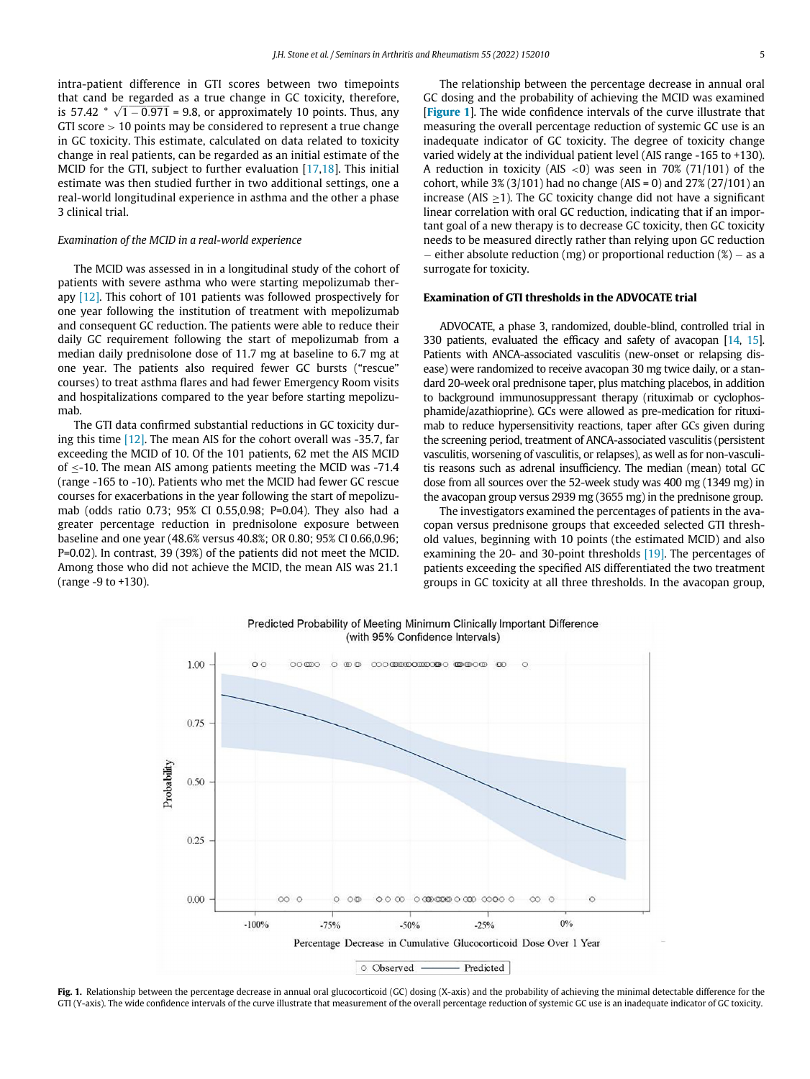intra-patient difference in GTI scores between two timepoints that cand be regarded as a true change in GC toxicity, therefore, that cand be regarded as a true change in GC toxicity, therefore, is  $57.42 * \sqrt{1 - 0.971} = 9.8$ , or approximately 10 points. Thus, any GTI score > 10 points may be considered to represent a true change in GC toxicity. This estimate, calculated on data related to toxicity change in real patients, can be regarded as an initial estimate of the MCID for the GTI, subject to further evaluation [\[17,](#page-7-10)[18](#page-7-11)]. This initial estimate was then studied further in two additional settings, one a real-world longitudinal experience in asthma and the other a phase 3 clinical trial.

# Examination of the MCID in a real-world experience

The MCID was assessed in in a longitudinal study of the cohort of patients with severe asthma who were starting mepolizumab therapy [\[12\]](#page-7-5). This cohort of 101 patients was followed prospectively for one year following the institution of treatment with mepolizumab and consequent GC reduction. The patients were able to reduce their daily GC requirement following the start of mepolizumab from a median daily prednisolone dose of 11.7 mg at baseline to 6.7 mg at one year. The patients also required fewer GC bursts ("rescue" courses) to treat asthma flares and had fewer Emergency Room visits and hospitalizations compared to the year before starting mepolizumab.

The GTI data confirmed substantial reductions in GC toxicity during this time [\[12\]](#page-7-5). The mean AIS for the cohort overall was -35.7, far exceeding the MCID of 10. Of the 101 patients, 62 met the AIS MCID of  $\leq$ -10. The mean AIS among patients meeting the MCID was -71.4 (range -165 to -10). Patients who met the MCID had fewer GC rescue courses for exacerbations in the year following the start of mepolizumab (odds ratio 0.73; 95% CI 0.55,0.98; P=0.04). They also had a greater percentage reduction in prednisolone exposure between baseline and one year (48.6% versus 40.8%; OR 0.80; 95% CI 0.66,0.96; P=0.02). In contrast, 39 (39%) of the patients did not meet the MCID. Among those who did not achieve the MCID, the mean AIS was 21.1 (range -9 to +130).

The relationship between the percentage decrease in annual oral GC dosing and the probability of achieving the MCID was examined **[[Figure 1](#page-4-0)].** The wide confidence intervals of the curve illustrate that measuring the overall percentage reduction of systemic GC use is an inadequate indicator of GC toxicity. The degree of toxicity change varied widely at the individual patient level (AIS range -165 to +130). A reduction in toxicity (AIS  $\lt 0$ ) was seen in 70% (71/101) of the cohort, while  $3\%$  (3/101) had no change (AIS = 0) and  $27\%$  (27/101) an increase (AIS  $>$ 1). The GC toxicity change did not have a significant linear correlation with oral GC reduction, indicating that if an important goal of a new therapy is to decrease GC toxicity, then GC toxicity needs to be measured directly rather than relying upon GC reduction - either absolute reduction (mg) or proportional reduction  $(\%)$  - as a surrogate for toxicity.

# Examination of GTI thresholds in the ADVOCATE trial

ADVOCATE, a phase 3, randomized, double-blind, controlled trial in 330 patients, evaluated the efficacy and safety of avacopan [\[14,](#page-7-7) [15](#page-7-8)]. Patients with ANCA-associated vasculitis (new-onset or relapsing disease) were randomized to receive avacopan 30 mg twice daily, or a standard 20-week oral prednisone taper, plus matching placebos, in addition to background immunosuppressant therapy (rituximab or cyclophosphamide/azathioprine). GCs were allowed as pre-medication for rituximab to reduce hypersensitivity reactions, taper after GCs given during the screening period, treatment of ANCA-associated vasculitis (persistent vasculitis, worsening of vasculitis, or relapses), as well as for non-vasculitis reasons such as adrenal insufficiency. The median (mean) total GC dose from all sources over the 52-week study was 400 mg (1349 mg) in the avacopan group versus 2939 mg (3655 mg) in the prednisone group.

The investigators examined the percentages of patients in the avacopan versus prednisone groups that exceeded selected GTI threshold values, beginning with 10 points (the estimated MCID) and also examining the 20- and 30-point thresholds [\[19\].](#page-7-12) The percentages of patients exceeding the specified AIS differentiated the two treatment groups in GC toxicity at all three thresholds. In the avacopan group,

<span id="page-4-0"></span>

Predicted Probability of Meeting Minimum Clinically Important Difference (with 95% Confidence Intervals)

Fig. 1. Relationship between the percentage decrease in annual oral glucocorticoid (GC) dosing (X-axis) and the probability of achieving the minimal detectable difference for the GTI (Y-axis). The wide confidence intervals of the curve illustrate that measurement of the overall percentage reduction of systemic GC use is an inadequate indicator of GC toxicity.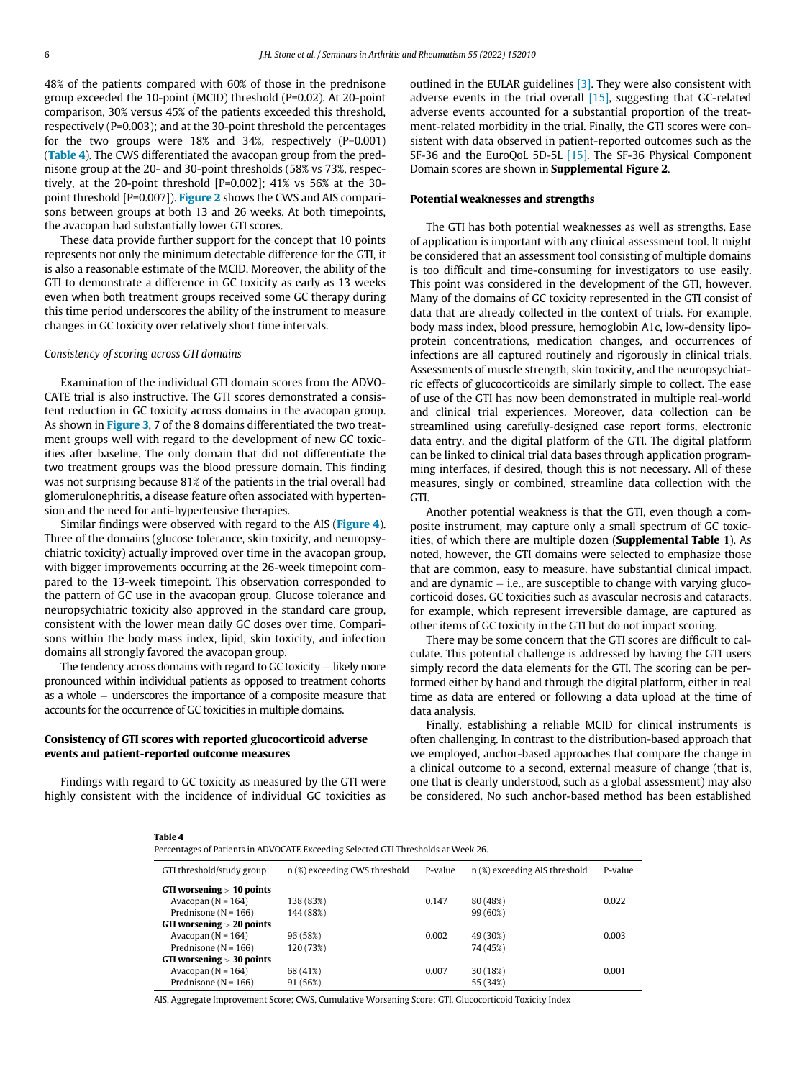48% of the patients compared with 60% of those in the prednisone group exceeded the 10-point (MCID) threshold (P=0.02). At 20-point comparison, 30% versus 45% of the patients exceeded this threshold, respectively (P=0.003); and at the 30-point threshold the percentages for the two groups were 18% and 34%, respectively (P=0.001) ([Table 4](#page-5-0)). The CWS differentiated the avacopan group from the prednisone group at the 20- and 30-point thresholds (58% vs 73%, respectively, at the 20-point threshold [P=0.002]; 41% vs 56% at the 30 point threshold [P=0.007]). [Figure 2](#page-6-0) shows the CWS and AIS comparisons between groups at both 13 and 26 weeks. At both timepoints, the avacopan had substantially lower GTI scores.

These data provide further support for the concept that 10 points represents not only the minimum detectable difference for the GTI, it is also a reasonable estimate of the MCID. Moreover, the ability of the GTI to demonstrate a difference in GC toxicity as early as 13 weeks even when both treatment groups received some GC therapy during this time period underscores the ability of the instrument to measure changes in GC toxicity over relatively short time intervals.

# Consistency of scoring across GTI domains

Examination of the individual GTI domain scores from the ADVO-CATE trial is also instructive. The GTI scores demonstrated a consistent reduction in GC toxicity across domains in the avacopan group. As shown in [Figure 3](#page-6-1), 7 of the 8 domains differentiated the two treatment groups well with regard to the development of new GC toxicities after baseline. The only domain that did not differentiate the two treatment groups was the blood pressure domain. This finding was not surprising because 81% of the patients in the trial overall had glomerulonephritis, a disease feature often associated with hypertension and the need for anti-hypertensive therapies.

Similar findings were observed with regard to the AIS ([Figure 4](#page-7-13)). Three of the domains (glucose tolerance, skin toxicity, and neuropsychiatric toxicity) actually improved over time in the avacopan group, with bigger improvements occurring at the 26-week timepoint compared to the 13-week timepoint. This observation corresponded to the pattern of GC use in the avacopan group. Glucose tolerance and neuropsychiatric toxicity also approved in the standard care group, consistent with the lower mean daily GC doses over time. Comparisons within the body mass index, lipid, skin toxicity, and infection domains all strongly favored the avacopan group.

The tendency across domains with regard to GC toxicity  $-$  likely more pronounced within individual patients as opposed to treatment cohorts as a whole  $-$  underscores the importance of a composite measure that accounts for the occurrence of GC toxicities in multiple domains.

# Consistency of GTI scores with reported glucocorticoid adverse events and patient-reported outcome measures

<span id="page-5-0"></span>Findings with regard to GC toxicity as measured by the GTI were highly consistent with the incidence of individual GC toxicities as outlined in the EULAR guidelines [\[3\].](#page-7-2) They were also consistent with adverse events in the trial overall  $[15]$ , suggesting that GC-related adverse events accounted for a substantial proportion of the treatment-related morbidity in the trial. Finally, the GTI scores were consistent with data observed in patient-reported outcomes such as the SF-36 and the EuroQoL 5D-5L [\[15\].](#page-7-8) The SF-36 Physical Component Domain scores are shown in Supplemental Figure 2.

# Potential weaknesses and strengths

The GTI has both potential weaknesses as well as strengths. Ease of application is important with any clinical assessment tool. It might be considered that an assessment tool consisting of multiple domains is too difficult and time-consuming for investigators to use easily. This point was considered in the development of the GTI, however. Many of the domains of GC toxicity represented in the GTI consist of data that are already collected in the context of trials. For example, body mass index, blood pressure, hemoglobin A1c, low-density lipoprotein concentrations, medication changes, and occurrences of infections are all captured routinely and rigorously in clinical trials. Assessments of muscle strength, skin toxicity, and the neuropsychiatric effects of glucocorticoids are similarly simple to collect. The ease of use of the GTI has now been demonstrated in multiple real-world and clinical trial experiences. Moreover, data collection can be streamlined using carefully-designed case report forms, electronic data entry, and the digital platform of the GTI. The digital platform can be linked to clinical trial data bases through application programming interfaces, if desired, though this is not necessary. All of these measures, singly or combined, streamline data collection with the GTI.

Another potential weakness is that the GTI, even though a composite instrument, may capture only a small spectrum of GC toxicities, of which there are multiple dozen (Supplemental Table 1). As noted, however, the GTI domains were selected to emphasize those that are common, easy to measure, have substantial clinical impact, and are dynamic  $-$  i.e., are susceptible to change with varying glucocorticoid doses. GC toxicities such as avascular necrosis and cataracts, for example, which represent irreversible damage, are captured as other items of GC toxicity in the GTI but do not impact scoring.

There may be some concern that the GTI scores are difficult to calculate. This potential challenge is addressed by having the GTI users simply record the data elements for the GTI. The scoring can be performed either by hand and through the digital platform, either in real time as data are entered or following a data upload at the time of data analysis.

Finally, establishing a reliable MCID for clinical instruments is often challenging. In contrast to the distribution-based approach that we employed, anchor-based approaches that compare the change in a clinical outcome to a second, external measure of change (that is, one that is clearly understood, such as a global assessment) may also be considered. No such anchor-based method has been established

#### Table 4

Percentages of Patients in ADVOCATE Exceeding Selected GTI Thresholds at Week 26.

| GTI threshold/study group   | n (%) exceeding CWS threshold | P-value | n (%) exceeding AIS threshold | P-value |
|-----------------------------|-------------------------------|---------|-------------------------------|---------|
| GTI worsening $> 10$ points |                               |         |                               |         |
| Avacopan $(N = 164)$        | 138 (83%)                     | 0.147   | 80 (48%)                      | 0.022   |
| Prednisone ( $N = 166$ )    | 144 (88%)                     |         | 99 (60%)                      |         |
| GTI worsening $> 20$ points |                               |         |                               |         |
| Avacopan $(N = 164)$        | 96 (58%)                      | 0.002   | 49 (30%)                      | 0.003   |
| Prednisone ( $N = 166$ )    | 120 (73%)                     |         | 74 (45%)                      |         |
| GTI worsening $> 30$ points |                               |         |                               |         |
| Avacopan $(N = 164)$        | 68 (41%)                      | 0.007   | 30 (18%)                      | 0.001   |
| Prednisone ( $N = 166$ )    | 91 (56%)                      |         | 55 (34%)                      |         |
|                             |                               |         |                               |         |

AIS, Aggregate Improvement Score; CWS, Cumulative Worsening Score; GTI, Glucocorticoid Toxicity Index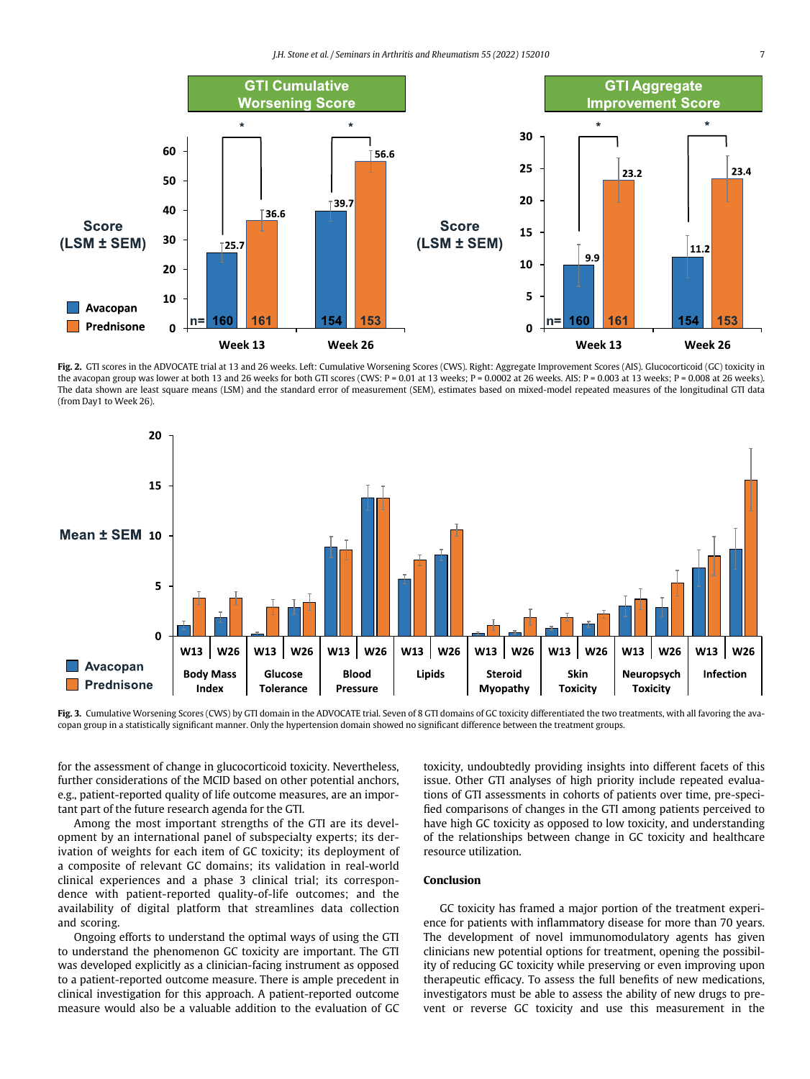<span id="page-6-0"></span>

Fig. 2. GTI scores in the ADVOCATE trial at 13 and 26 weeks. Left: Cumulative Worsening Scores (CWS). Right: Aggregate Improvement Scores (AIS). Glucocorticoid (GC) toxicity in the avacopan group was lower at both 13 and 26 weeks for both GTI scores (CWS:  $P = 0.01$  at 13 weeks;  $P = 0.0002$  at 26 weeks. AIS:  $P = 0.003$  at 13 weeks;  $P = 0.008$  at 26 weeks). The data shown are least square means (LSM) and the standard error of measurement (SEM), estimates based on mixed-model repeated measures of the longitudinal GTI data (from Day1 to Week 26).

<span id="page-6-1"></span>

Fig. 3. Cumulative Worsening Scores (CWS) by GTI domain in the ADVOCATE trial. Seven of 8 GTI domains of GC toxicity differentiated the two treatments, with all favoring the avacopan group in a statistically significant manner. Only the hypertension domain showed no significant difference between the treatment groups.

for the assessment of change in glucocorticoid toxicity. Nevertheless, further considerations of the MCID based on other potential anchors, e.g., patient-reported quality of life outcome measures, are an important part of the future research agenda for the GTI.

Among the most important strengths of the GTI are its development by an international panel of subspecialty experts; its derivation of weights for each item of GC toxicity; its deployment of a composite of relevant GC domains; its validation in real-world clinical experiences and a phase 3 clinical trial; its correspondence with patient-reported quality-of-life outcomes; and the availability of digital platform that streamlines data collection and scoring.

Ongoing efforts to understand the optimal ways of using the GTI to understand the phenomenon GC toxicity are important. The GTI was developed explicitly as a clinician-facing instrument as opposed to a patient-reported outcome measure. There is ample precedent in clinical investigation for this approach. A patient-reported outcome measure would also be a valuable addition to the evaluation of GC toxicity, undoubtedly providing insights into different facets of this issue. Other GTI analyses of high priority include repeated evaluations of GTI assessments in cohorts of patients over time, pre-specified comparisons of changes in the GTI among patients perceived to have high GC toxicity as opposed to low toxicity, and understanding of the relationships between change in GC toxicity and healthcare resource utilization.

# Conclusion

GC toxicity has framed a major portion of the treatment experience for patients with inflammatory disease for more than 70 years. The development of novel immunomodulatory agents has given clinicians new potential options for treatment, opening the possibility of reducing GC toxicity while preserving or even improving upon therapeutic efficacy. To assess the full benefits of new medications, investigators must be able to assess the ability of new drugs to prevent or reverse GC toxicity and use this measurement in the